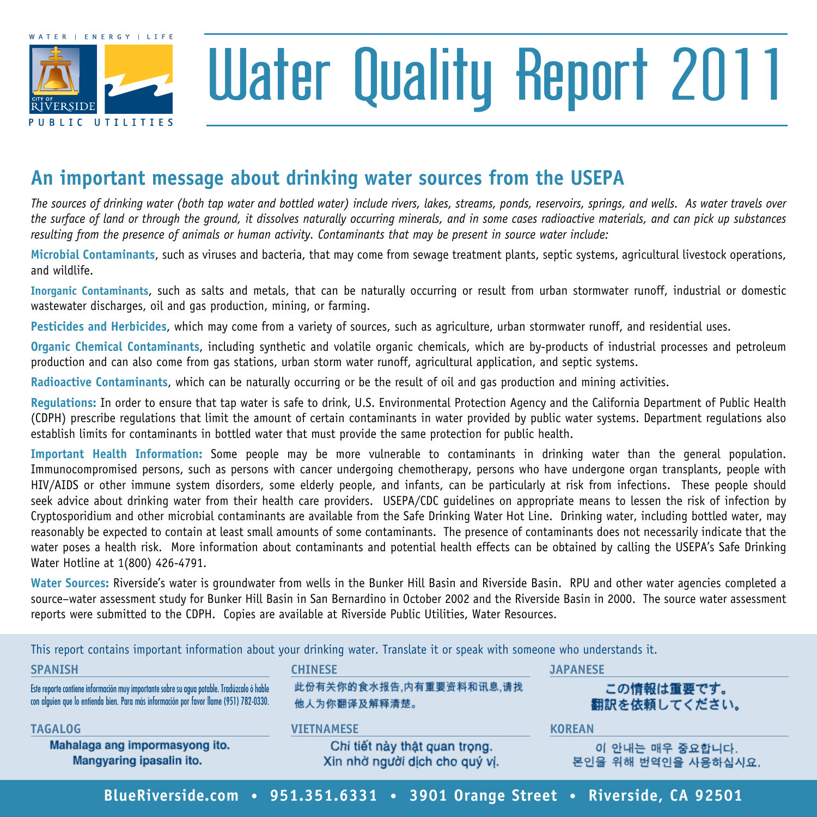

# Water Quality Report 2011

### **An important message about drinking water sources from the usepa**

*The sources of drinking water (both tap water and bottled water) include rivers, lakes, streams, ponds, reservoirs, springs, and wells. As water travels over the surface of land or through the ground, it dissolves naturally occurring minerals, and in some cases radioactive materials, and can pick up substances resulting from the presence of animals or human activity. Contaminants that may be present in source water include:*

**Microbial Contaminants**, such as viruses and bacteria, that may come from sewage treatment plants, septic systems, agricultural livestock operations, and wildlife.

**Inorganic Contaminants**, such as salts and metals, that can be naturally occurring or result from urban stormwater runoff, industrial or domestic wastewater discharges, oil and gas production, mining, or farming.

**Pesticides and Herbicides**, which may come from a variety of sources, such as agriculture, urban stormwater runoff, and residential uses.

**Organic Chemical Contaminants**, including synthetic and volatile organic chemicals, which are by-products of industrial processes and petroleum production and can also come from gas stations, urban storm water runoff, agricultural application, and septic systems.

**Radioactive Contaminants**, which can be naturally occurring or be the result of oil and gas production and mining activities.

**Regulations:** In order to ensure that tap water is safe to drink, U.S. Environmental Protection Agency and the California Department of Public Health (CDPH) prescribe regulations that limit the amount of certain contaminants in water provided by public water systems. Department regulations also establish limits for contaminants in bottled water that must provide the same protection for public health.

**Important Health Information:** Some people may be more vulnerable to contaminants in drinking water than the general population. Immunocompromised persons, such as persons with cancer undergoing chemotherapy, persons who have undergone organ transplants, people with HIV/AIDS or other immune system disorders, some elderly people, and infants, can be particularly at risk from infections. These people should seek advice about drinking water from their health care providers. USEPA/CDC guidelines on appropriate means to lessen the risk of infection by Cryptosporidium and other microbial contaminants are available from the Safe Drinking Water Hot Line. Drinking water, including bottled water, may reasonably be expected to contain at least small amounts of some contaminants. The presence of contaminants does not necessarily indicate that the water poses a health risk. More information about contaminants and potential health effects can be obtained by calling the USEPA's Safe Drinking Water Hotline at 1(800) 426-4791.

**Water Sources:** Riverside's water is groundwater from wells in the Bunker Hill Basin and Riverside Basin. RPU and other water agencies completed a source–water assessment study for Bunker Hill Basin in San Bernardino in October 2002 and the Riverside Basin in 2000. The source water assessment reports were submitted to the CDPH. Copies are available at Riverside Public Utilities, Water Resources.

This report contains important information about your drinking water. Translate it or speak with someone who understands it.

| <b>SPANISH</b>                                                                             | <b>CHINESE</b>                 | <b>JAPANESE</b>     |  |
|--------------------------------------------------------------------------------------------|--------------------------------|---------------------|--|
| Este reporte contiene información muy importante sobre su agua potable. Tradúzcalo ó hable | 此份有关你的食水报告,内有重要资料和讯息,请找        | この情報は重要です。          |  |
| con alguien que lo entienda bien. Para más información por favor llame (951) 782-0330.     | 他人为你翻译及解释清楚。                   | 翻訳を依頼してください。        |  |
| <b>TAGALOG</b>                                                                             | <b>VIETNAMESE</b>              | <b>KOREAN</b>       |  |
| Mahalaga ang impormasyong ito.                                                             | Chi tiết này thật quan trọng.  | 이 안내는 매우 중요합니다.     |  |
| Mangyaring ipasalin ito.                                                                   | Xin nhờ người dịch cho quý vi. | 본인을 위해 번역인을 사용하십시요. |  |

**BlueRiverside.com • 951.351.6331 • 3901 Orange Street • Riverside, CA 92501**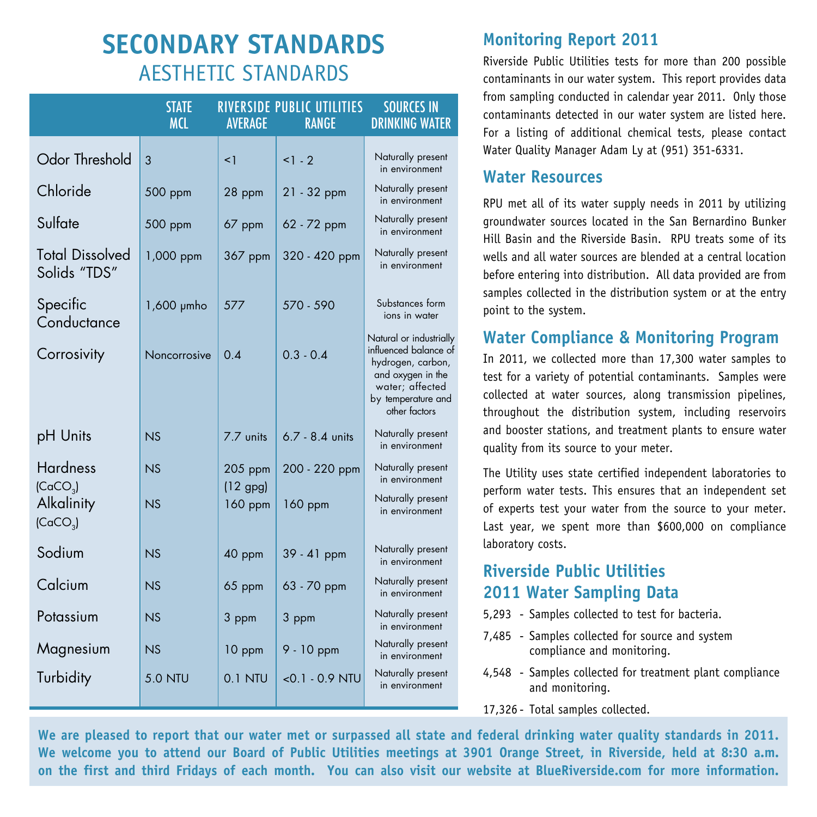## **Secondary Standards** Aesthetic Standards

|                                         | <b>STATE</b><br><b>MCL</b> | <b>AVERAGE</b>        | RIVERSIDE PUBLIC UTILITIES<br><b>RANGE</b> | <b>SOURCES IN</b><br><b>DRINKING WATER</b>                                                                                                           |
|-----------------------------------------|----------------------------|-----------------------|--------------------------------------------|------------------------------------------------------------------------------------------------------------------------------------------------------|
| <b>Odor Threshold</b>                   | 3                          | $\leq$ 1              | $1 - 2$                                    | Naturally present<br>in environment                                                                                                                  |
| Chloride                                | 500 ppm                    | 28 ppm                | $21 - 32$ ppm                              | Naturally present<br>in environment                                                                                                                  |
| Sulfate                                 | 500 ppm                    | 67 ppm                | 62 - 72 ppm                                | Naturally present<br>in environment                                                                                                                  |
| <b>Total Dissolved</b><br>Solids "TDS"  | 1,000 ppm                  | 367 ppm               | 320 - 420 ppm                              | Naturally present<br>in environment                                                                                                                  |
| Specific<br>Conductance                 | $1,600$ $\mu$ mho          | 577                   | 570 - 590                                  | Substances form<br>ions in water                                                                                                                     |
| Corrosivity                             | Noncorrosive               | 0.4                   | $0.3 - 0.4$                                | Natural or industrially<br>influenced balance of<br>hydrogen, carbon,<br>and oxygen in the<br>water; affected<br>by temperature and<br>other factors |
| pH Units                                | NS                         | 7.7 units             | $6.7 - 8.4$ units                          | Naturally present<br>in environment                                                                                                                  |
| <b>Hardness</b><br>(CaCO <sub>3</sub> ) | N.S                        | 205 ppm               | 200 - 220 ppm                              | Naturally present<br>in environment                                                                                                                  |
| Alkalinity<br>(CaCO <sub>3</sub> )      | NS                         | $(12$ gpg)<br>160 ppm | 160 ppm                                    | Naturally present<br>in environment                                                                                                                  |
| Sodium                                  | NS                         | 40 ppm                | 39 - 41 ppm                                | Naturally present<br>in environment                                                                                                                  |
| Calcium                                 | NS                         | 65 ppm                | 63 - 70 ppm                                | Naturally present<br>in environment                                                                                                                  |
| Potassium                               | NS                         | 3 ppm                 | 3 ppm                                      | Naturally present<br>in environment                                                                                                                  |
| Magnesium                               | NS                         | 10 ppm                | $9 - 10$ ppm                               | Naturally present<br>in environment                                                                                                                  |
| Turbidity                               | <b>5.0 NTU</b>             | $0.1$ NTU             | $< 0.1 - 0.9$ NTU                          | Naturally present<br>in environment                                                                                                                  |

#### **Monitoring Report 2011**

Riverside Public Utilities tests for more than 200 possible contaminants in our water system. This report provides data from sampling conducted in calendar year 2011. Only those contaminants detected in our water system are listed here. For a listing of additional chemical tests, please contact Water Quality Manager Adam Ly at (951) 351-6331.

#### **Water Resources**

RPU met all of its water supply needs in 2011 by utilizing groundwater sources located in the San Bernardino Bunker Hill Basin and the Riverside Basin. RPU treats some of its wells and all water sources are blended at a central location before entering into distribution. All data provided are from samples collected in the distribution system or at the entry point to the system.

#### **Water Compliance & Monitoring Program**

In 2011, we collected more than 17,300 water samples to test for a variety of potential contaminants. Samples were collected at water sources, along transmission pipelines, throughout the distribution system, including reservoirs and booster stations, and treatment plants to ensure water quality from its source to your meter.

The Utility uses state certified independent laboratories to perform water tests. This ensures that an independent set of experts test your water from the source to your meter. Last year, we spent more than \$600,000 on compliance laboratory costs.

#### **Riverside Public Utilities 2011 Water Sampling Data**

- 5,293 Samples collected to test for bacteria.
- 7,485 Samples collected for source and system compliance and monitoring.
- 4,548 Samples collected for treatment plant compliance and monitoring.
- 17,326 Total samples collected.

**We are pleased to report that our water met or surpassed all state and federal drinking water quality standards in 2011. We welcome you to attend our Board of Public Utilities meetings at 3901 Orange Street, in Riverside, held at 8:30 a.m. on the first and third Fridays of each month. You can also visit our website at BlueRiverside.com for more information.**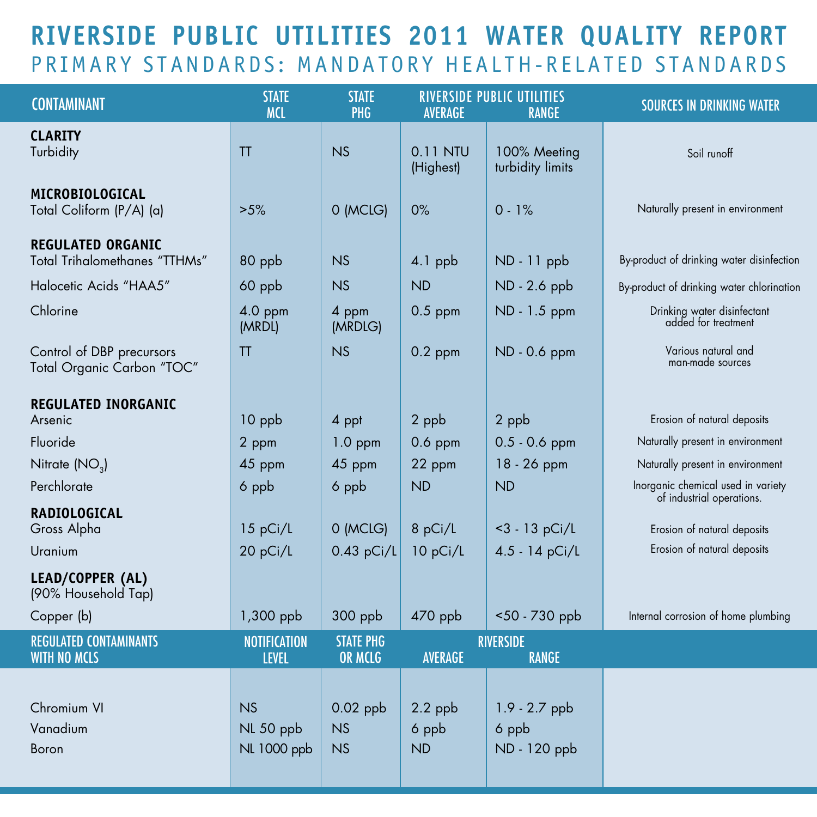## **Riverside Public Utilities 2011 Water Quality Report** PRIMARY STANDARDS: MANDATORY HEALTH-RELATED STANDARDS

| <b>CONTAMINANT</b>                                        | <b>STATE</b><br><b>MCL</b>          | <b>STATE</b><br>PHG                | AVERAGE                         | <b>RIVERSIDE PUBLIC UTILITIES</b><br><b>RANGE</b> | <b>SOURCES IN DRINKING WATER</b>                                |
|-----------------------------------------------------------|-------------------------------------|------------------------------------|---------------------------------|---------------------------------------------------|-----------------------------------------------------------------|
| <b>CLARITY</b><br>Turbidity                               | TT                                  | NS                                 | 0.11 NTU<br>(Highest)           | 100% Meeting<br>turbidity limits                  | Soil runoff                                                     |
| MICROBIOLOGICAL<br>Total Coliform (P/A) (a)               | $>5\%$                              | 0 (MCLG)                           | 0%                              | $0 - 1%$                                          | Naturally present in environment                                |
| <b>REGULATED ORGANIC</b><br>Total Trihalomethanes "TTHMs" | 80 ppb                              | NS                                 | $4.1$ ppb                       | $ND - 11$ ppb                                     | By-product of drinking water disinfection                       |
| Halocetic Acids "HAA5"                                    | 60 ppb                              | NS                                 | <b>ND</b>                       | ND - 2.6 ppb                                      | By-product of drinking water chlorination                       |
| Chlorine                                                  | 4.0 ppm<br>(MRDL)                   | 4 ppm<br>(MRDLG)                   | $0.5$ ppm                       | ND - 1.5 ppm                                      | Drinking water disinfectant<br>added for treatment              |
| Control of DBP precursors<br>Total Organic Carbon "TOC"   | TT                                  | <b>NS</b>                          | $0.2$ ppm                       | ND - 0.6 ppm                                      | Various natural and<br>man-made sources                         |
| <b>REGULATED INORGANIC</b>                                |                                     |                                    |                                 |                                                   |                                                                 |
| Arsenic                                                   | $10$ ppb                            | 4 ppt                              | 2 ppb                           | 2 ppb                                             | Erosion of natural deposits                                     |
| Fluoride                                                  | 2 ppm                               | $1.0$ ppm                          | $0.6$ ppm                       | $0.5 - 0.6$ ppm                                   | Naturally present in environment                                |
| Nitrate (NO <sub>3</sub> )                                | 45 ppm                              | 45 ppm                             | 22 ppm                          | 18 - 26 ppm                                       | Naturally present in environment                                |
| Perchlorate                                               | 6 ppb                               | 6 ppb                              | <b>ND</b>                       | <b>ND</b>                                         | Inorganic chemical used in variety<br>of industrial operations. |
| <b>RADIOLOGICAL</b>                                       |                                     |                                    |                                 |                                                   |                                                                 |
| Gross Alpha                                               | 15 pCi/L                            | 0 (MCLG)                           | 8 pCi/L                         | $<$ 3 - 13 pCi/L                                  | Erosion of natural deposits                                     |
| Uranium                                                   | 20 pCi/L                            | $0.43$ pCi/L                       | 10 pCi/L                        | 4.5 - 14 pCi/L                                    | Erosion of natural deposits                                     |
| LEAD/COPPER (AL)<br>(90% Household Tap)                   |                                     |                                    |                                 |                                                   |                                                                 |
| Copper (b)                                                | 1,300 ppb                           | $300$ ppb                          | $470$ ppb                       | <50 - 730 ppb                                     | Internal corrosion of home plumbing                             |
| <b>REGULATED CONTAMINANTS</b><br><b>WITH NO MCLS</b>      | <b>NOTIFICATION</b><br><b>LEVEL</b> | <b>STATE PHG</b><br><b>OR MCLG</b> | <b>AVERAGE</b>                  | <b>RIVERSIDE</b><br><b>RANGE</b>                  |                                                                 |
| Chromium VI<br>Vanadium<br>Boron                          | NS<br>NL 50 ppb<br>NL 1000 ppb      | $0.02$ ppb<br><b>NS</b><br>NS      | $2.2$ ppb<br>6 ppb<br><b>ND</b> | 1.9 - 2.7 ppb<br>6 ppb<br>ND - 120 ppb            |                                                                 |